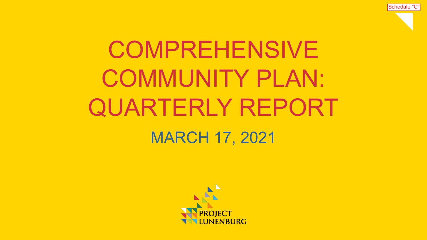

# COMPREHENSIVE COMMUNITY PLAN: QUARTERLY REPORT MARCH 17, 2021

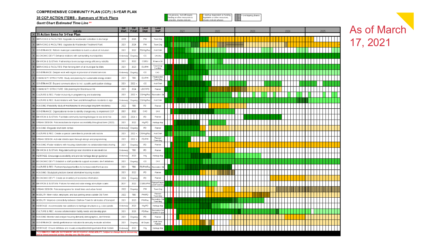#### COMPREHENSIVE COMMUNITY PLAN (CCP) | 5-YEAR PLAN

35 CCP ACTION ITEMS - Summary of Work Plans

= in process, but will require<br>funding or other resources to<br>complete; shades indicate = start up dependant on funding,<br>legislative or other resources;<br>shades indicate phases 

As of March

17, 2021

**Gantt Chart Estimated Time Line \*\*** 

|                             | Activity                                                                                                  |                      | ESL<br>Finish | Lead<br>Dept           | Lead<br><b>Staff</b>           | 2021 |  |  | 2022 |  |  | 2023 |  |  |  | 2024 |  |  |  | 2025 |  |  |  |  |  |  |  |
|-----------------------------|-----------------------------------------------------------------------------------------------------------|----------------------|---------------|------------------------|--------------------------------|------|--|--|------|--|--|------|--|--|--|------|--|--|--|------|--|--|--|--|--|--|--|
|                             | 35 Action Items for 5-Year Plan                                                                           |                      |               |                        |                                |      |  |  |      |  |  |      |  |  |  |      |  |  |  |      |  |  |  |  |  |  |  |
| $\overline{\mathbf{1}}$     | SERVICING & FACILITIES: Upgrades to wastewater collection & discharge                                     | 2019                 | 2025          | <b>PW</b>              | Town Eng                       |      |  |  |      |  |  |      |  |  |  |      |  |  |  |      |  |  |  |  |  |  |  |
| $\overline{2}$              | SERVICING & FACILITIES: Upgrades to Wastewater Treatment Plant                                            | 2021                 | 2025          | PW                     | Town Eng                       |      |  |  |      |  |  |      |  |  |  |      |  |  |  |      |  |  |  |  |  |  |  |
| $\overline{\mathbf{3}}$     | GOVERNANCE: Reform municipal committees to build a culture of inclusion                                   | 2021                 | 2022          | PD/Htg/Re              | Asst Clerk                     |      |  |  |      |  |  |      |  |  |  |      |  |  |  |      |  |  |  |  |  |  |  |
| $\overline{4}$              | ECONOMIC DEV'T. Enhance relations with surrounding municipalities                                         | Jnderwa;             | Ongoing       | CS.                    | <b>CAO/As</b>                  |      |  |  |      |  |  |      |  |  |  |      |  |  |  |      |  |  |  |  |  |  |  |
| $5^{\circ}$                 | ENVIRON & SUSTAIN: Partnerships to encourage energy efficiency retrofits                                  | 2021                 | 2022          | CS/EU                  | Finance Dir                    |      |  |  |      |  |  |      |  |  |  |      |  |  |  |      |  |  |  |  |  |  |  |
|                             | SERVICING & FACILITIES: Plan for long-term of all municipal facilities                                    | 2021                 | 2023          | EU/PW                  | Town Eng/<br>Facilities        |      |  |  |      |  |  |      |  |  |  |      |  |  |  |      |  |  |  |  |  |  |  |
| $\mathbf{7}$                | GOVERNANCE: Deepen work with region re provision of shared services                                       | Jnderwa;             | Ongoing       | $\mathbb{C}\mathbb{S}$ | CAO                            |      |  |  |      |  |  |      |  |  |  |      |  |  |  |      |  |  |  |  |  |  |  |
| $\,$ 8 $\,$                 | COMMUNITY STRUCTURE: Study and planning for sustainable energy district                                   | 2021                 | TBD           | EU/PW                  | Finance Din<br>Town Eng        |      |  |  |      |  |  |      |  |  |  |      |  |  |  |      |  |  |  |  |  |  |  |
| $\vert \cdot \vert$         | GOVERNANCE: Expand communications to incl. a public participation strategy                                | 2021                 | $2022 -$      | $\mathbb{C}\mathbb{S}$ | Asst Clerk                     |      |  |  |      |  |  |      |  |  |  |      |  |  |  |      |  |  |  |  |  |  |  |
|                             | 10 COMMUNITY STRUCTURE: Site planning for Blockhouse Hill                                                 | 2021                 | 2024          | LBOT/PD                | Planner                        |      |  |  |      |  |  |      |  |  |  |      |  |  |  |      |  |  |  |  |  |  |  |
| $\overline{11}$             | CULTURE & REC: Foster inclusivity in programming and leadership                                           | 2021                 | 2022          | CS/Htg/Re              | Recreation D                   |      |  |  |      |  |  |      |  |  |  |      |  |  |  |      |  |  |  |  |  |  |  |
|                             | 12 CULTURE & REC: Build relations with Town and Mikmaq/Black residents & orgs                             | Jnderwa              | Ongoing       | CS/Htg/Rei             | Asst Clerk                     |      |  |  |      |  |  |      |  |  |  |      |  |  |  |      |  |  |  |  |  |  |  |
|                             | HOUSING: Feasibility study of mechanisms to encourage long-term residency                                 | 2022                 | TBD           | PD.                    | Planner                        |      |  |  |      |  |  |      |  |  |  |      |  |  |  |      |  |  |  |  |  |  |  |
|                             | 14 GOVERNANCE: Organizational review to identify changes req. to implement CCP                            | 2021                 | 2022          | CAO                    | CA O                           |      |  |  |      |  |  |      |  |  |  |      |  |  |  |      |  |  |  |  |  |  |  |
|                             | 16 ENVIRON & SUSTAIN: Facilitate community learning/dialogue re sea level rise                            | 2023                 | 2024          | PD                     | Planner                        |      |  |  |      |  |  |      |  |  |  |      |  |  |  |      |  |  |  |  |  |  |  |
|                             | URBAN DESIGN: Policies/actions to improve accessibility throughout town (2022)                            | 2021                 | 2022          | Htg/PD                 | ⊣eritage Mgi                   |      |  |  |      |  |  |      |  |  |  |      |  |  |  |      |  |  |  |  |  |  |  |
|                             | 17 HOUSING: Regulate short-term rentals                                                                   | Jnderwa <sup>.</sup> | Ongoing       | PD.                    | Planner                        |      |  |  |      |  |  |      |  |  |  |      |  |  |  |      |  |  |  |  |  |  |  |
|                             | 18 CULTURE & REC: Create a special committee to promote anti-racism                                       | 2021                 | 2022          | R/Htg/Re               | Asst Clerk                     |      |  |  |      |  |  |      |  |  |  |      |  |  |  |      |  |  |  |  |  |  |  |
| 19                          | URBAN DESIGN: Activate streetscapes through design and programming                                        | 2021                 | 2022          | PD/PW                  | Plannen<br>Town Eng            |      |  |  |      |  |  |      |  |  |  |      |  |  |  |      |  |  |  |  |  |  |  |
| $\overline{20}$             | HOUSING: Foster relations with housing stakeholders re collaboration/data sharing                         | 2021                 | Ongoing       | PD                     | Planner                        |      |  |  |      |  |  |      |  |  |  |      |  |  |  |      |  |  |  |  |  |  |  |
|                             | ENVIRON & SUSTAIN: Regulate buildings near shoreline re sea level rise                                    | Jnderwa              | TBD           | PD.                    | Planner                        |      |  |  |      |  |  |      |  |  |  |      |  |  |  |      |  |  |  |  |  |  |  |
| $\overline{22}$             | HERITAGE: Encourage accessibility and provide heritage design guidance                                    | Underwa              | 2023          | Htg                    | Heritage Mgr                   |      |  |  |      |  |  |      |  |  |  |      |  |  |  |      |  |  |  |  |  |  |  |
|                             | 23 ECONOMIC DEVT: Establish a staff position to support economic devt initiatives                         | 2021                 | Ongoing       | CS.                    | CAO                            |      |  |  |      |  |  |      |  |  |  |      |  |  |  |      |  |  |  |  |  |  |  |
|                             | 24 CULTURE & REC: Partnerships/opportunities to increase waterfront access                                | 2021                 | TBD           | D/PW/Rec               | Recreation D                   |      |  |  |      |  |  |      |  |  |  |      |  |  |  |      |  |  |  |  |  |  |  |
|                             | 25 HOUSING: Study/policy/actions toward alternative housing models                                        | 2021                 | 2022          | PD.                    | Planner                        |      |  |  |      |  |  |      |  |  |  |      |  |  |  |      |  |  |  |  |  |  |  |
| $\overline{26}$             | ECONOMIC DEV'T: Create an inventory of economic information                                               | 2024                 | Ongoing       | PD.                    | Planner                        |      |  |  |      |  |  |      |  |  |  |      |  |  |  |      |  |  |  |  |  |  |  |
| 27                          | ENVIRON & SUSTAIN: Policies for wind and solar energy at multiple scales                                  | 2021                 | 2022          | CS/EU/PV               | lannen Finan<br>Dir/Town En    |      |  |  |      |  |  |      |  |  |  |      |  |  |  |      |  |  |  |  |  |  |  |
| $\overline{28}$             | URBAN DESIGN: Policies/programs for street trees and urban forest                                         | 2022                 | Ongoing       | PW                     | Town Eng                       |      |  |  |      |  |  |      |  |  |  |      |  |  |  |      |  |  |  |  |  |  |  |
| $\overline{\phantom{a}}$ 29 | MOBILITY: New visitor, employee, and bus parking areas outside Old Town                                   | 2022                 | TBD           | <b>PW/PD</b>           | Plannen<br>Town Eng            |      |  |  |      |  |  |      |  |  |  |      |  |  |  |      |  |  |  |  |  |  |  |
| 30                          | MOBILITY: Improve connectivity between Old/New Town for all modes of transport                            | 2021                 | 2023          | <b>PW/Red</b>          | tecreation Di<br>Town Eng      |      |  |  |      |  |  |      |  |  |  |      |  |  |  |      |  |  |  |  |  |  |  |
| 31                          | HERITAGE: Accommodate new additions to heritage structures e.g. solar panels                              | Jnderwa              | 2023          | Htg/PD                 | Heritage Mgr                   |      |  |  |      |  |  |      |  |  |  |      |  |  |  |      |  |  |  |  |  |  |  |
| 32                          | CULTURE & REC: Assess arts/recreation facility needs and develop plan                                     | 2021                 | 2025          | PD/Rec                 | ecreation Di<br>acilities Supe |      |  |  |      |  |  |      |  |  |  |      |  |  |  |      |  |  |  |  |  |  |  |
| 33                          | HOUSING: Monitor and analyze housing demand, demographics, dev't trends                                   | 2021                 | Ongoing       | PD.                    | Planner                        |      |  |  |      |  |  |      |  |  |  |      |  |  |  |      |  |  |  |  |  |  |  |
| 34                          | GOVERNANCE: Identify performance indicators to annually evaluate activities                               | 2021                 | Ongoing       | All Depts              | Asst Clerk<br>Planner          |      |  |  |      |  |  |      |  |  |  |      |  |  |  |      |  |  |  |  |  |  |  |
| 35                          | HERITAGE: Ensure infill/new are visually compatible/distinguishable from historic                         | Jnderwa              | 2022          | Htg                    | Heritage Mgr                   |      |  |  |      |  |  |      |  |  |  |      |  |  |  |      |  |  |  |  |  |  |  |
|                             | <b>"ESTIMATED TIMELINE DEPENDENT ON RESOURCE AVAILABILITY. SI</b><br>mected actions develop over the five | due to resourcing    |               |                        |                                |      |  |  |      |  |  |      |  |  |  |      |  |  |  |      |  |  |  |  |  |  |  |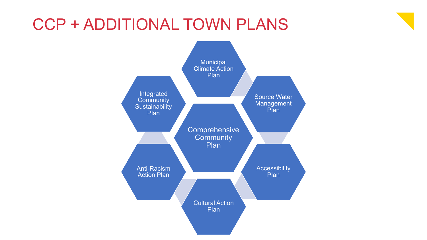## CCP + ADDITIONAL TOWN PLANS

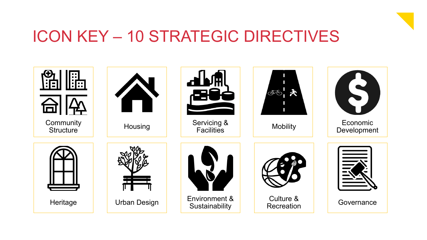

## ICON KEY – 10 STRATEGIC DIRECTIVES

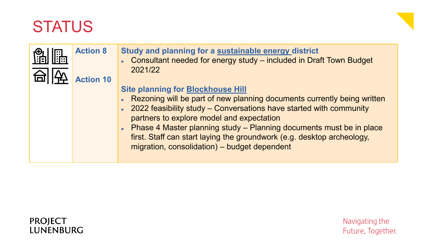

| <b>Action 8</b><br><b>Action 10</b> | Study and planning for a sustainable energy district<br>► Consultant needed for energy study – included in Draft Town Budget<br>2021/22                                                                                                                                                                                                                                                                                                     |
|-------------------------------------|---------------------------------------------------------------------------------------------------------------------------------------------------------------------------------------------------------------------------------------------------------------------------------------------------------------------------------------------------------------------------------------------------------------------------------------------|
|                                     | <b>Site planning for Blockhouse Hill</b><br>Rezoning will be part of new planning documents currently being written<br>▶ 2022 feasibility study – Conversations have started with community<br>partners to explore model and expectation<br>► Phase 4 Master planning study – Planning documents must be in place<br>first. Staff can start laying the groundwork (e.g. desktop archeology,<br>migration, consolidation) - budget dependent |

#### **PROJECT** LUNENBURG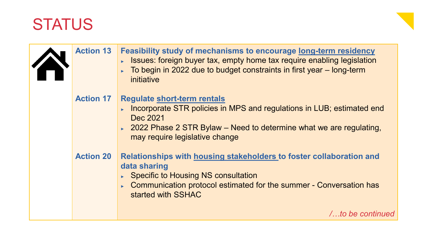| <b>Action 13</b> | <b>Feasibility study of mechanisms to encourage long-term residency</b><br>► Issues: foreign buyer tax, empty home tax require enabling legislation<br>To begin in 2022 due to budget constraints in first year – long-term<br>initiative         |
|------------------|---------------------------------------------------------------------------------------------------------------------------------------------------------------------------------------------------------------------------------------------------|
| <b>Action 17</b> | <b>Regulate short-term rentals</b><br>Incorporate STR policies in MPS and regulations in LUB; estimated end<br>$\mathbf{r}$<br>Dec 2021<br>► 2022 Phase 2 STR Bylaw – Need to determine what we are regulating,<br>may require legislative change |
| <b>Action 20</b> | Relationships with housing stakeholders to foster collaboration and<br>data sharing<br>► Specific to Housing NS consultation<br>Communication protocol estimated for the summer - Conversation has<br>$\blacktriangleright$<br>started with SSHAC |
|                  | /to be continued                                                                                                                                                                                                                                  |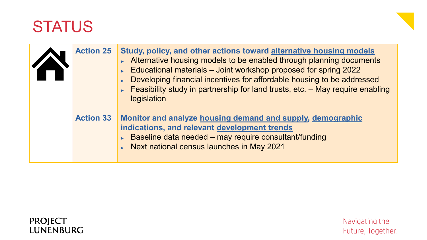| <b>Action 25</b> | Study, policy, and other actions toward alternative housing models<br>Alternative housing models to be enabled through planning documents<br>Educational materials - Joint workshop proposed for spring 2022<br>Developing financial incentives for affordable housing to be addressed<br>Feasibility study in partnership for land trusts, etc. $-$ May require enabling<br>legislation |
|------------------|------------------------------------------------------------------------------------------------------------------------------------------------------------------------------------------------------------------------------------------------------------------------------------------------------------------------------------------------------------------------------------------|
| <b>Action 33</b> | Monitor and analyze housing demand and supply, demographic<br>indications, and relevant development trends<br>$\triangleright$ Baseline data needed – may require consultant/funding<br>Next national census launches in May 2021                                                                                                                                                        |

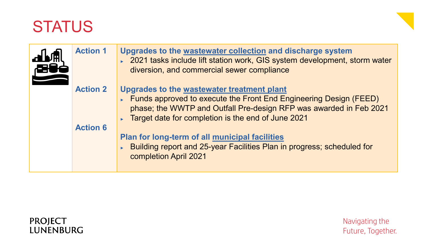

| <b>Action 1</b> | Upgrades to the wastewater collection and discharge system<br>► 2021 tasks include lift station work, GIS system development, storm water<br>diversion, and commercial sewer compliance                                                       |
|-----------------|-----------------------------------------------------------------------------------------------------------------------------------------------------------------------------------------------------------------------------------------------|
| <b>Action 2</b> | Upgrades to the wastewater treatment plant<br>Funds approved to execute the Front End Engineering Design (FEED)<br>phase; the WWTP and Outfall Pre-design RFP was awarded in Feb 2021<br>► Target date for completion is the end of June 2021 |
| <b>Action 6</b> | Plan for long-term of all municipal facilities<br>▶ Building report and 25-year Facilities Plan in progress; scheduled for<br>completion April 2021                                                                                           |

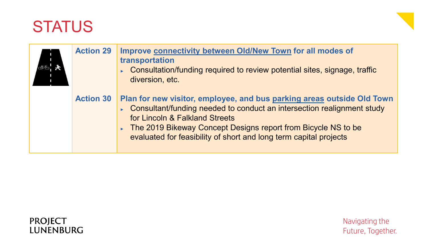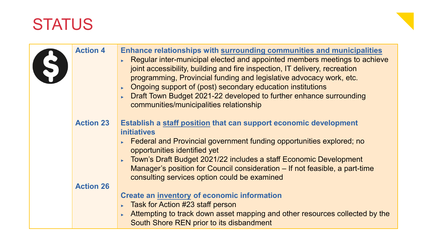| <b>Action 4</b>  | Enhance relationships with surrounding communities and municipalities<br>Regular inter-municipal elected and appointed members meetings to achieve<br>joint accessibility, building and fire inspection, IT delivery, recreation<br>programming, Provincial funding and legislative advocacy work, etc.<br>Ongoing support of (post) secondary education institutions<br>Draft Town Budget 2021-22 developed to further enhance surrounding<br>communities/municipalities relationship |
|------------------|----------------------------------------------------------------------------------------------------------------------------------------------------------------------------------------------------------------------------------------------------------------------------------------------------------------------------------------------------------------------------------------------------------------------------------------------------------------------------------------|
| <b>Action 23</b> | Establish a staff position that can support economic development<br><b>initiatives</b><br>Federal and Provincial government funding opportunities explored; no<br>opportunities identified yet<br>Town's Draft Budget 2021/22 includes a staff Economic Development<br>Manager's position for Council consideration – If not feasible, a part-time<br>consulting services option could be examined                                                                                     |
| <b>Action 26</b> | <b>Create an inventory of economic information</b><br>Task for Action #23 staff person<br>Attempting to track down asset mapping and other resources collected by the<br>South Shore REN prior to its disbandment                                                                                                                                                                                                                                                                      |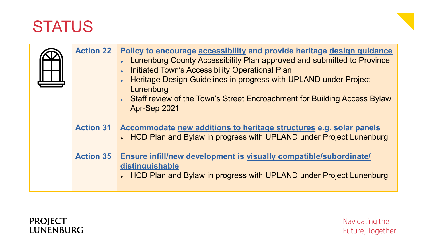| <b>Action 22</b> | Policy to encourage accessibility and provide heritage design guidance<br>Lunenburg County Accessibility Plan approved and submitted to Province<br><b>Initiated Town's Accessibility Operational Plan</b><br>Heritage Design Guidelines in progress with UPLAND under Project<br>Lunenburg<br>► Staff review of the Town's Street Encroachment for Building Access Bylaw<br>Apr-Sep 2021 |
|------------------|-------------------------------------------------------------------------------------------------------------------------------------------------------------------------------------------------------------------------------------------------------------------------------------------------------------------------------------------------------------------------------------------|
| <b>Action 31</b> | Accommodate new additions to heritage structures e.g. solar panels<br>► HCD Plan and Bylaw in progress with UPLAND under Project Lunenburg                                                                                                                                                                                                                                                |
| <b>Action 35</b> | Ensure infill/new development is visually compatible/subordinate/<br>distinguishable<br>► HCD Plan and Bylaw in progress with UPLAND under Project Lunenburg                                                                                                                                                                                                                              |

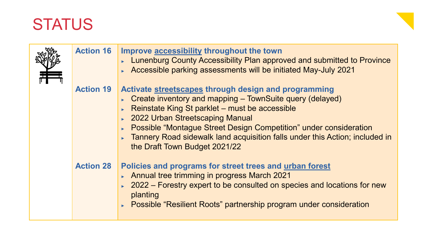



| <b>Action 16</b> | Improve accessibility throughout the town<br>► Lunenburg County Accessibility Plan approved and submitted to Province<br>► Accessible parking assessments will be initiated May-July 2021                                                                                                                                                                                                                            |
|------------------|----------------------------------------------------------------------------------------------------------------------------------------------------------------------------------------------------------------------------------------------------------------------------------------------------------------------------------------------------------------------------------------------------------------------|
| <b>Action 19</b> | Activate streetscapes through design and programming<br>$\triangleright$ Create inventory and mapping – TownSuite query (delayed)<br>Reinstate King St parklet – must be accessible<br>▶ 2022 Urban Streetscaping Manual<br><b>Possible "Montague Street Design Competition" under consideration</b><br>Tannery Road sidewalk land acquisition falls under this Action; included in<br>the Draft Town Budget 2021/22 |
| <b>Action 28</b> | Policies and programs for street trees and urban forest<br>Annual tree trimming in progress March 2021<br>2022 – Forestry expert to be consulted on species and locations for new<br>planting<br>► Possible "Resilient Roots" partnership program under consideration                                                                                                                                                |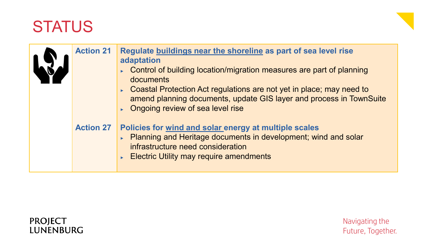

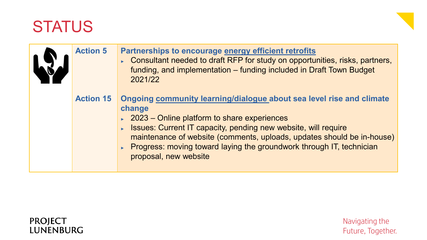| <b>Action 5</b>  | <b>Partnerships to encourage energy efficient retrofits</b><br>► Consultant needed to draft RFP for study on opportunities, risks, partners,<br>funding, and implementation - funding included in Draft Town Budget<br>2021/22                                                                                                                                                          |
|------------------|-----------------------------------------------------------------------------------------------------------------------------------------------------------------------------------------------------------------------------------------------------------------------------------------------------------------------------------------------------------------------------------------|
| <b>Action 15</b> | Ongoing community learning/dialogue about sea level rise and climate<br>change<br>$\sim$ 2023 – Online platform to share experiences<br>Sultimates: Current IT capacity, pending new website, will require<br>maintenance of website (comments, uploads, updates should be in-house)<br>▶ Progress: moving toward laying the groundwork through IT, technician<br>proposal, new website |

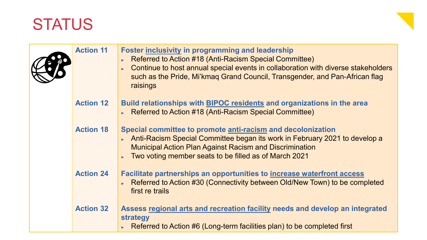

| <b>Action 11</b> | <b>Foster inclusivity in programming and leadership</b><br>Referred to Action #18 (Anti-Racism Special Committee)<br>Continue to host annual special events in collaboration with diverse stakeholders<br>such as the Pride, Mi'kmag Grand Council, Transgender, and Pan-African flag<br>raisings |
|------------------|---------------------------------------------------------------------------------------------------------------------------------------------------------------------------------------------------------------------------------------------------------------------------------------------------|
| <b>Action 12</b> | Build relationships with BIPOC residents and organizations in the area<br>Referred to Action #18 (Anti-Racism Special Committee)                                                                                                                                                                  |
| <b>Action 18</b> | Special committee to promote anti-racism and decolonization<br>Anti-Racism Special Committee began its work in February 2021 to develop a<br><b>Municipal Action Plan Against Racism and Discrimination</b><br>Two voting member seats to be filled as of March 2021                              |
| <b>Action 24</b> | <b>Facilitate partnerships an opportunities to increase waterfront access</b><br>Referred to Action #30 (Connectivity between Old/New Town) to be completed<br>first re trails                                                                                                                    |
| <b>Action 32</b> | Assess regional arts and recreation facility needs and develop an integrated<br>strategy<br>Referred to Action #6 (Long-term facilities plan) to be completed first                                                                                                                               |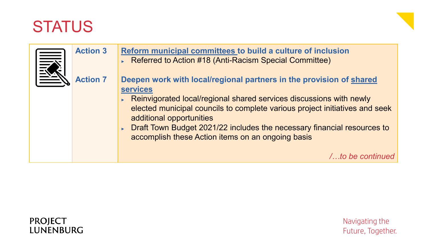

| <b>Action 3</b> | Reform municipal committees to build a culture of inclusion<br>▶ Referred to Action #18 (Anti-Racism Special Committee)                                                                                                                                                                                                                                                                                    |
|-----------------|------------------------------------------------------------------------------------------------------------------------------------------------------------------------------------------------------------------------------------------------------------------------------------------------------------------------------------------------------------------------------------------------------------|
| <b>Action 7</b> | Deepen work with local/regional partners in the provision of shared<br><b>services</b><br>► Reinvigorated local/regional shared services discussions with newly<br>elected municipal councils to complete various project initiatives and seek<br>additional opportunities<br>Draft Town Budget 2021/22 includes the necessary financial resources to<br>accomplish these Action items on an ongoing basis |
|                 | <i>lto be continu</i>                                                                                                                                                                                                                                                                                                                                                                                      |

#### **PROJECT** LUNENBURG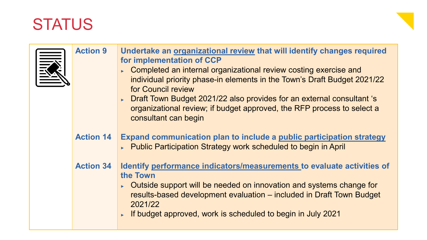| <b>TANITAL</b> | <b>Action 9</b>  | Undertake an organizational review that will identify changes required<br>for implementation of CCP<br>Completed an internal organizational review costing exercise and<br>individual priority phase-in elements in the Town's Draft Budget 2021/22<br>for Council review<br>► Draft Town Budget 2021/22 also provides for an external consultant 's<br>organizational review; if budget approved, the RFP process to select a<br>consultant can begin |
|----------------|------------------|--------------------------------------------------------------------------------------------------------------------------------------------------------------------------------------------------------------------------------------------------------------------------------------------------------------------------------------------------------------------------------------------------------------------------------------------------------|
|                | <b>Action 14</b> | Expand communication plan to include a public participation strategy<br>► Public Participation Strategy work scheduled to begin in April                                                                                                                                                                                                                                                                                                               |
|                | <b>Action 34</b> | Identify performance indicators/measurements to evaluate activities of<br>the Town<br>• Outside support will be needed on innovation and systems change for<br>results-based development evaluation – included in Draft Town Budget<br>2021/22<br>If budget approved, work is scheduled to begin in July 2021                                                                                                                                          |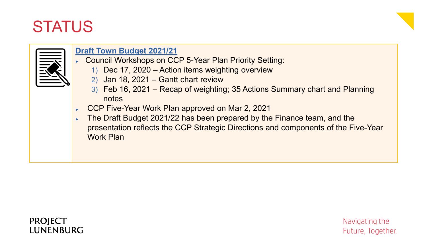



#### **Draft Town Budget 2021/21**

- ► Council Workshops on CCP 5-Year Plan Priority Setting:
	- 1) Dec 17, 2020 Action items weighting overview
	- 2) Jan 18, 2021 Gantt chart review
	- 3) Feb 16, 2021 Recap of weighting; 35 Actions Summary chart and Planning notes
- ► CCP Five-Year Work Plan approved on Mar 2, 2021
- ► The Draft Budget 2021/22 has been prepared by the Finance team, and the presentation reflects the CCP Strategic Directions and components of the Five-Year Work Plan